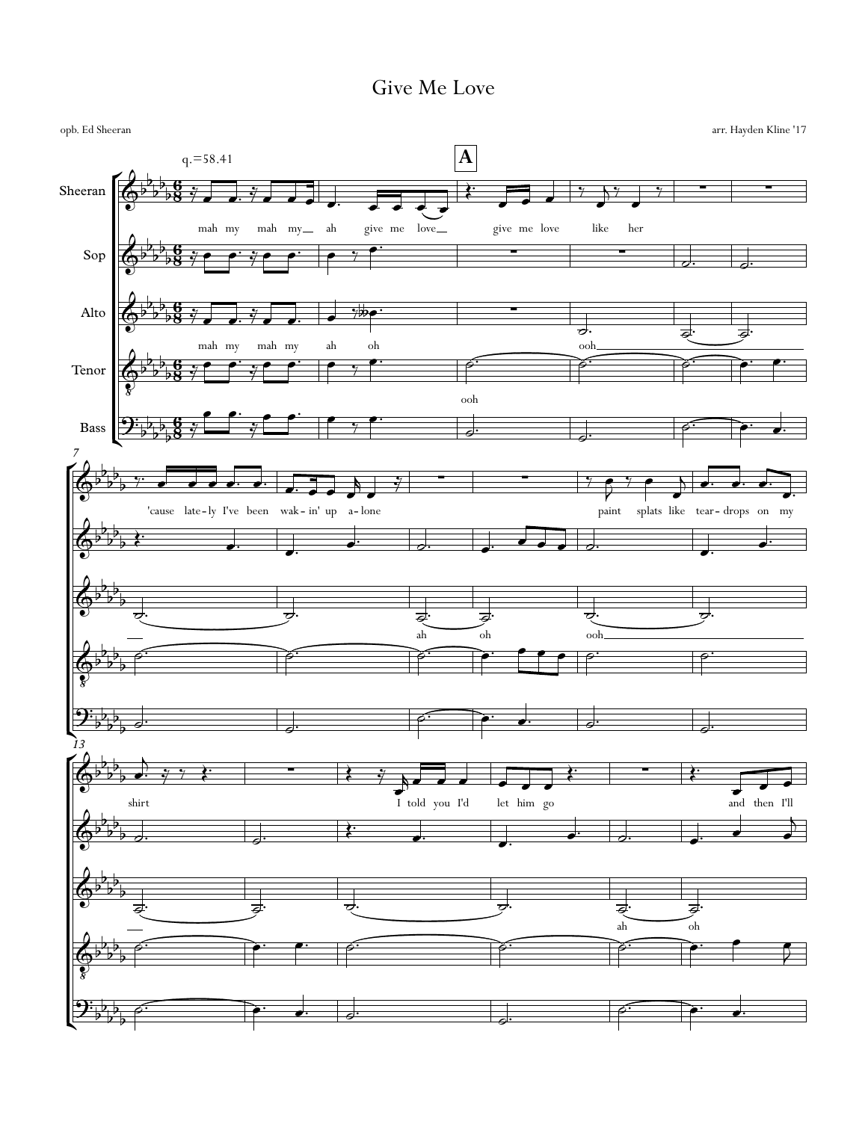## Give Me Love

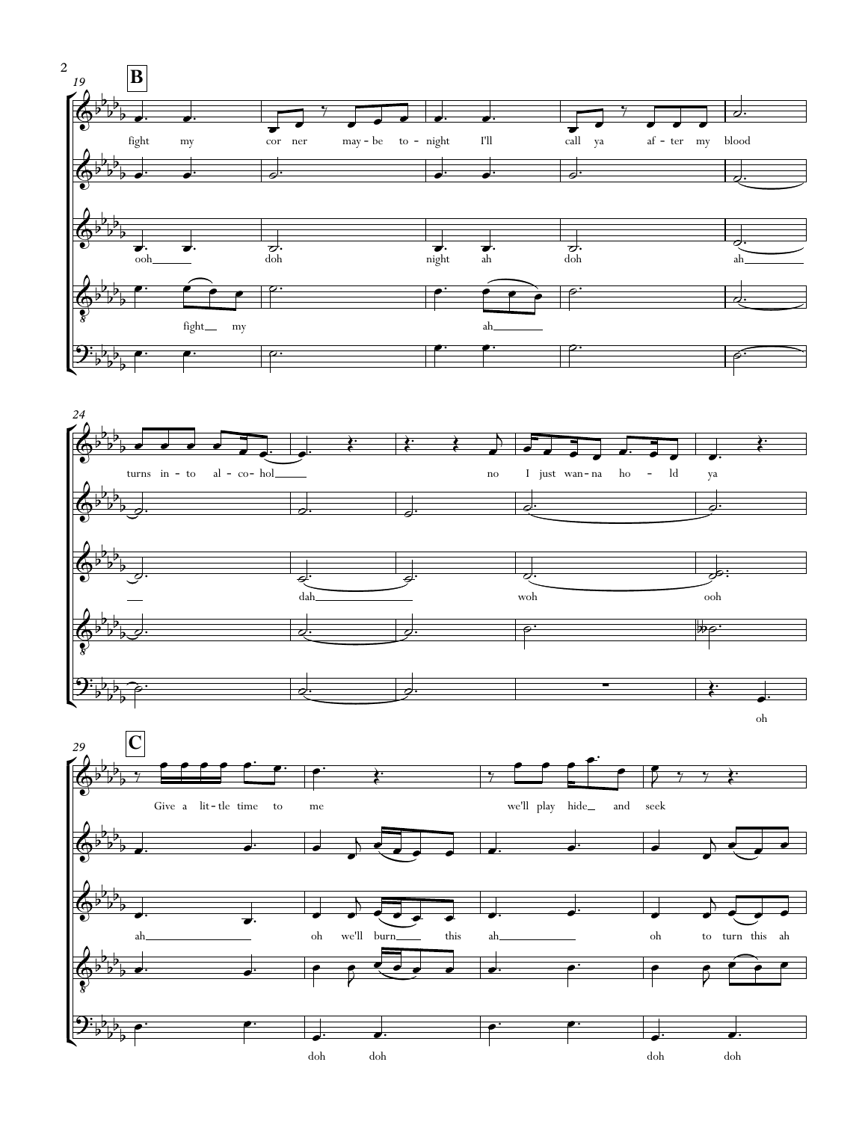



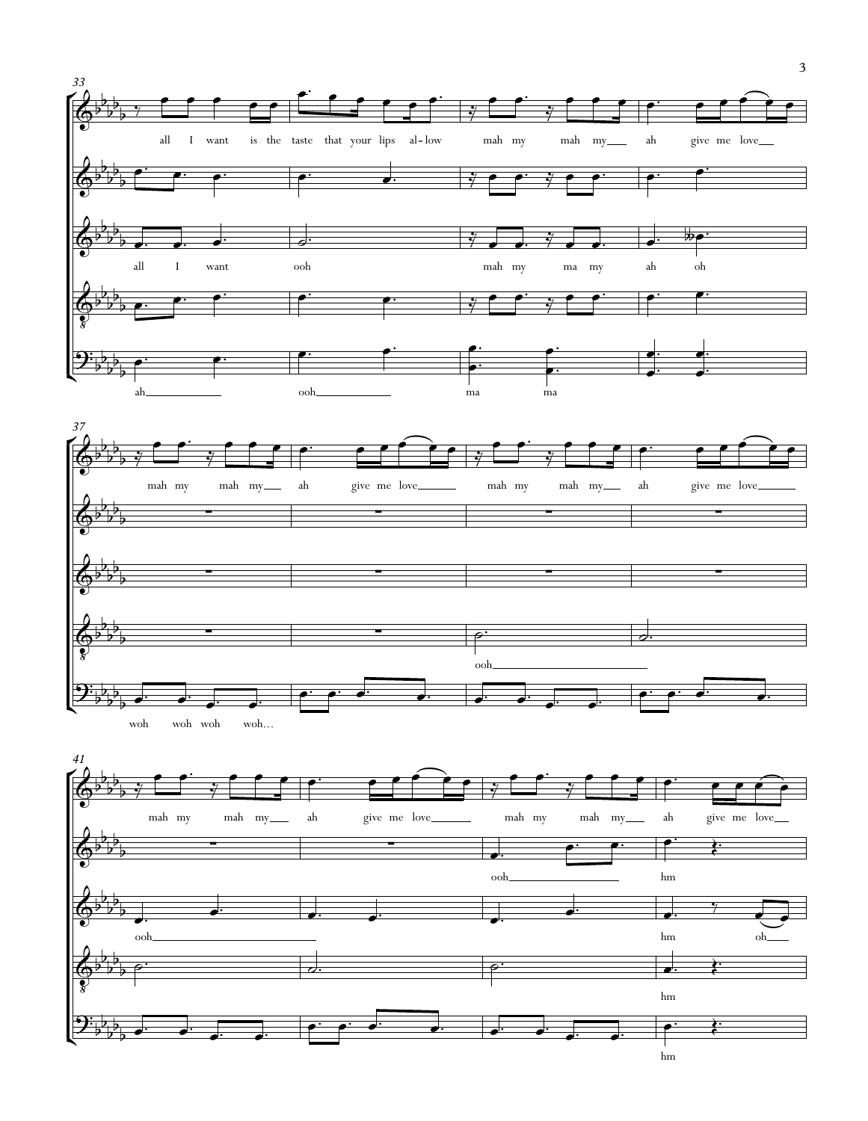



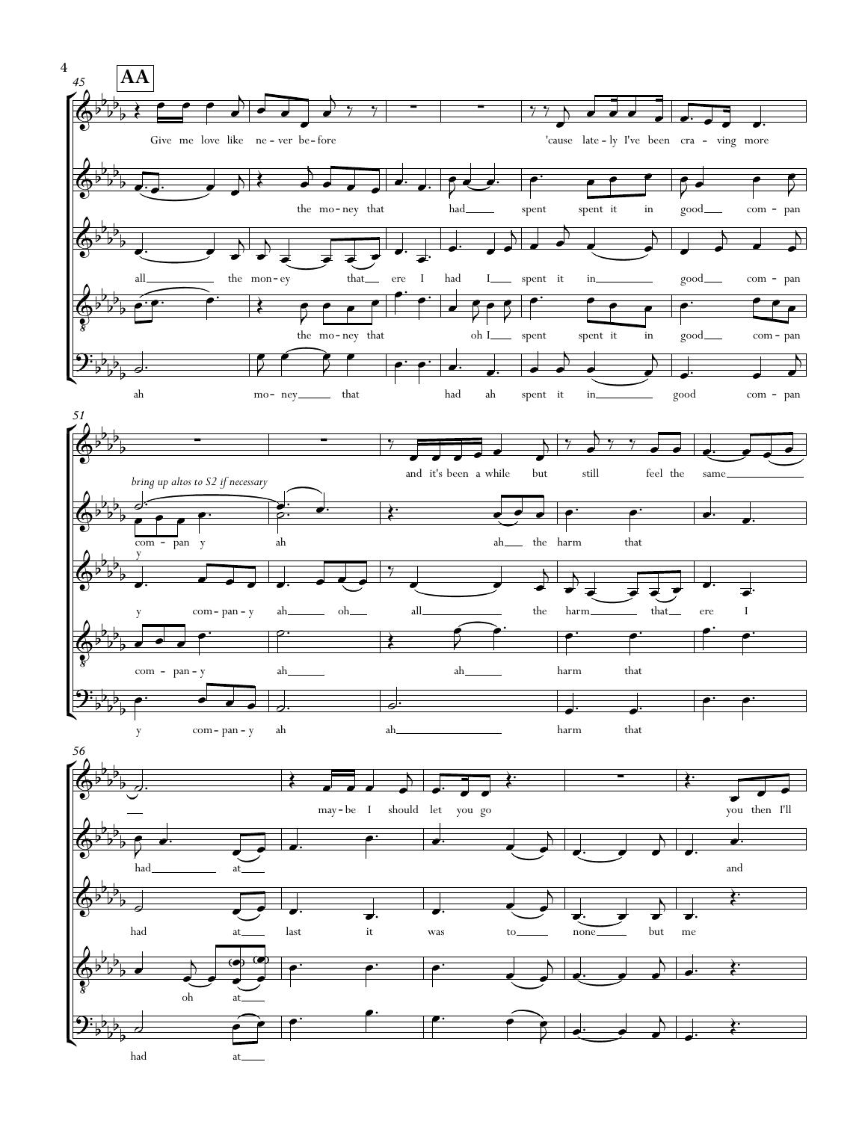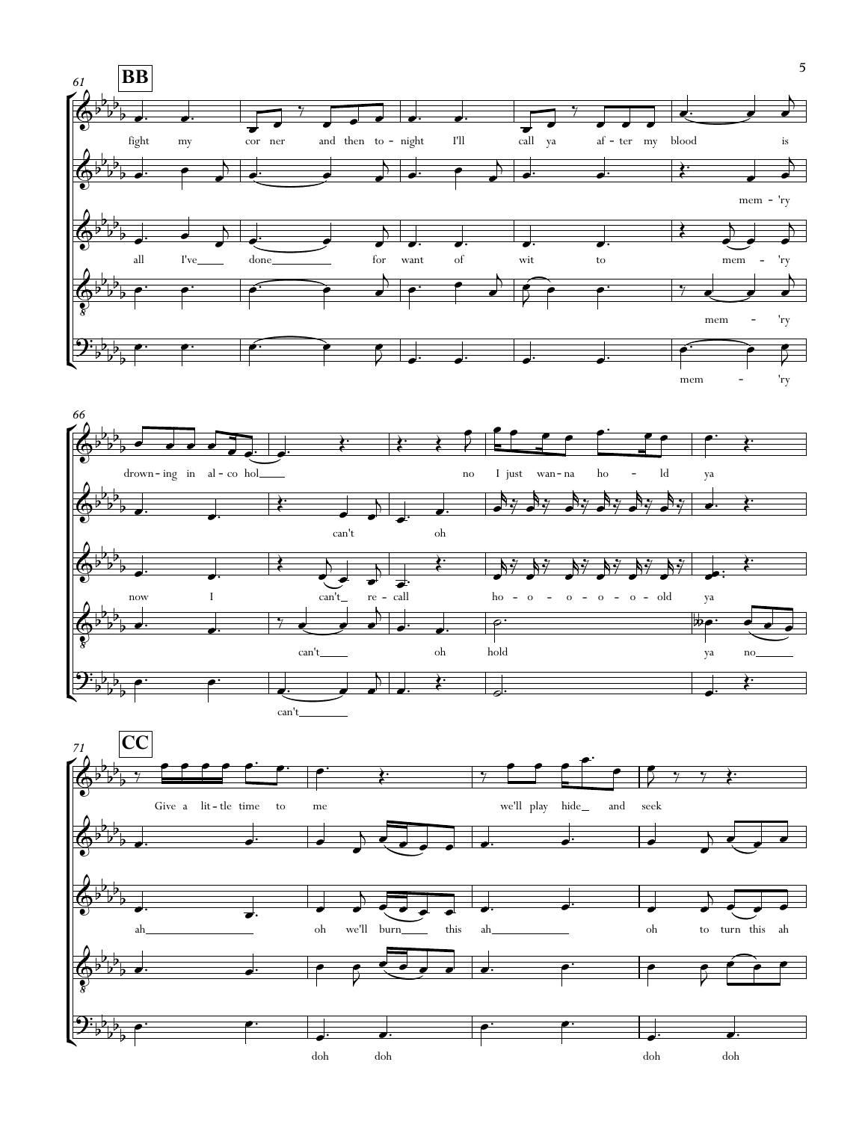

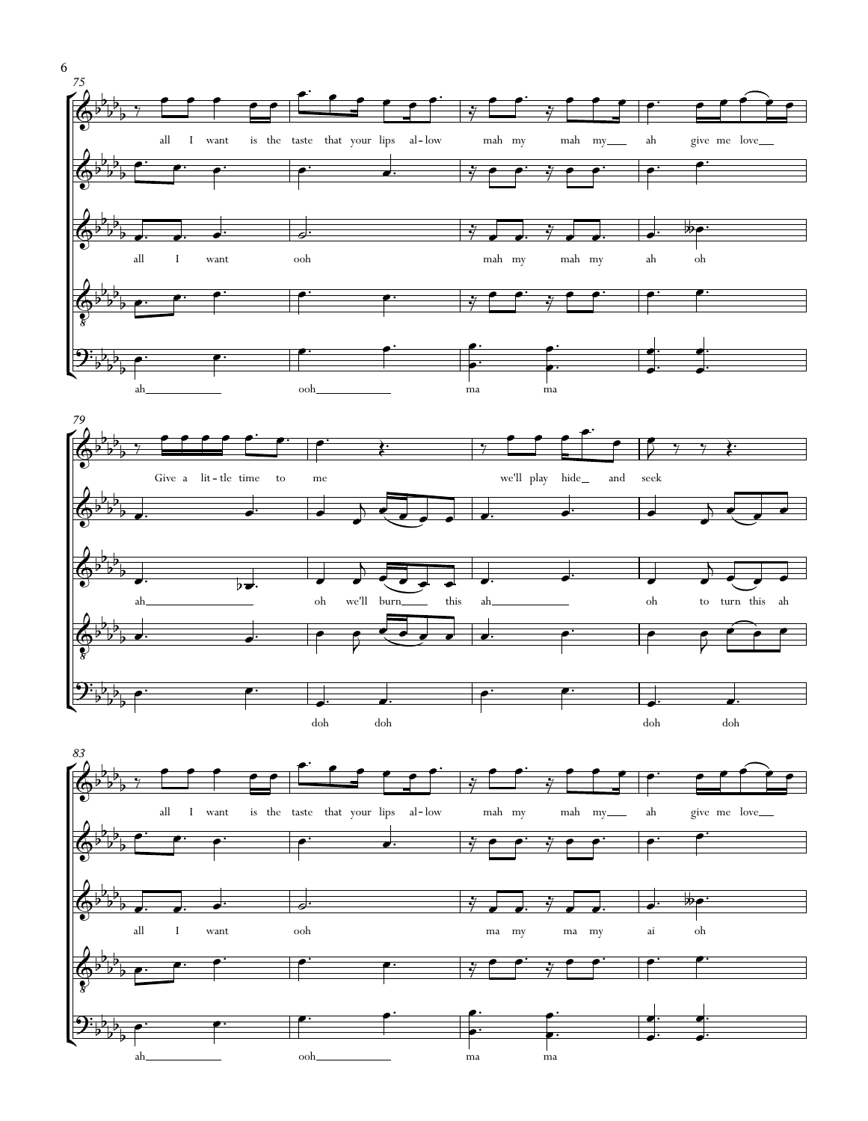









6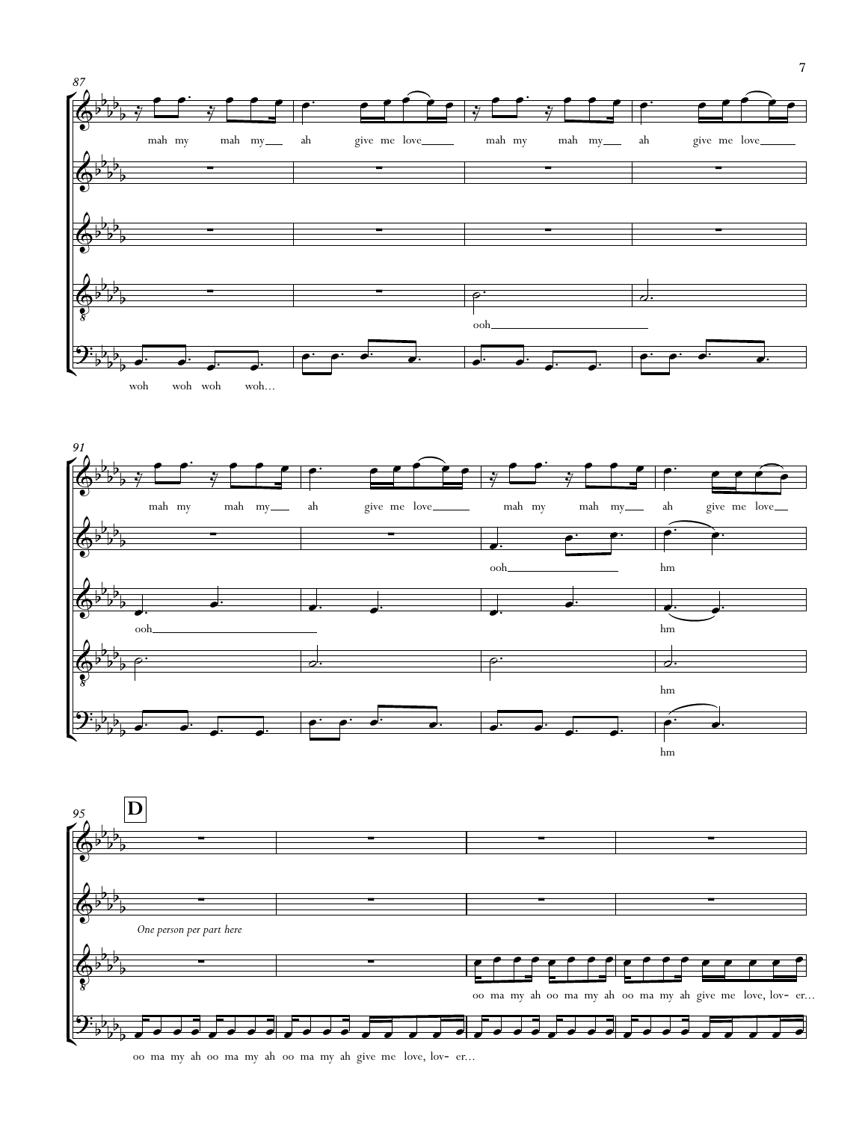





oo ma my ah oo ma my ah oo ma my ah give me love, lov- er...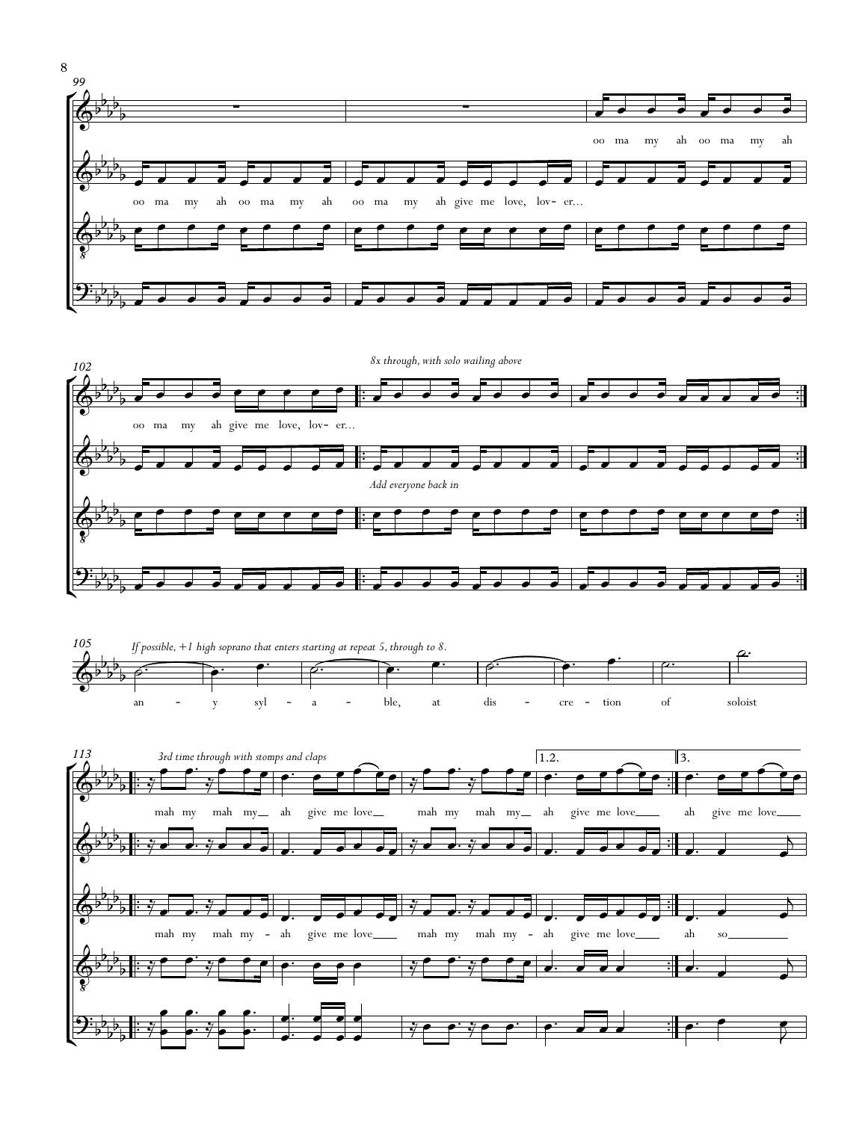